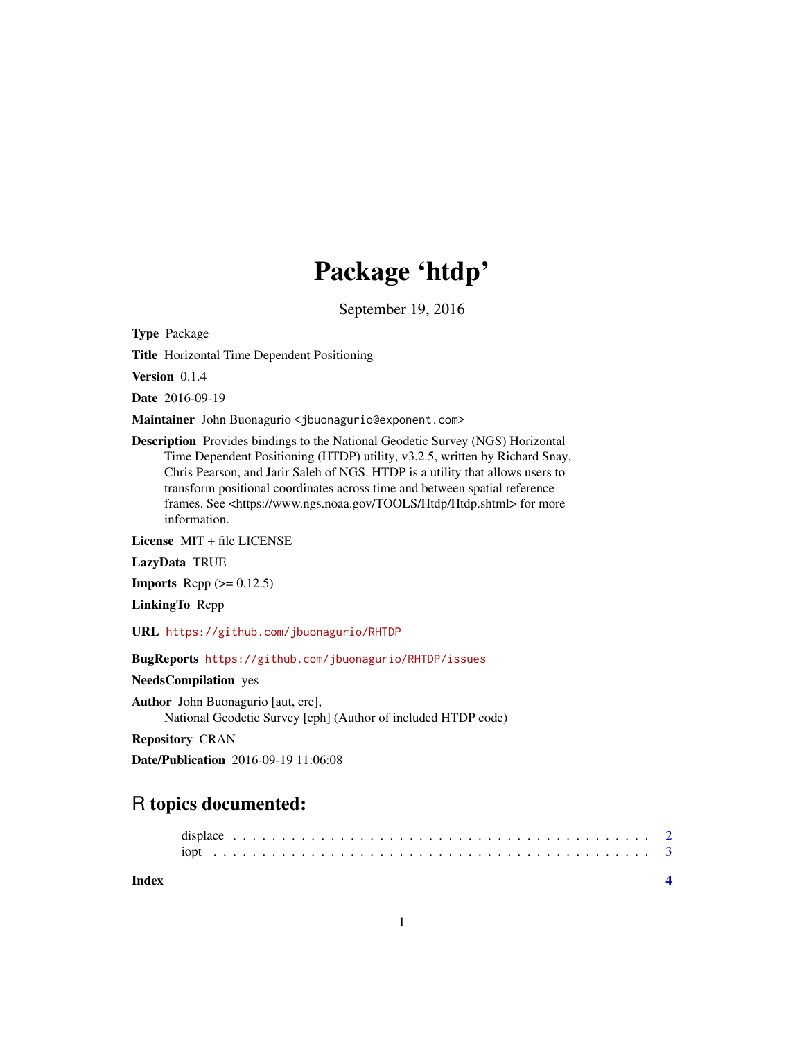## Package 'htdp'

September 19, 2016

Type Package

Title Horizontal Time Dependent Positioning

Version 0.1.4

Date 2016-09-19

Maintainer John Buonagurio <jbuonagurio@exponent.com>

Description Provides bindings to the National Geodetic Survey (NGS) Horizontal Time Dependent Positioning (HTDP) utility, v3.2.5, written by Richard Snay, Chris Pearson, and Jarir Saleh of NGS. HTDP is a utility that allows users to transform positional coordinates across time and between spatial reference frames. See <https://www.ngs.noaa.gov/TOOLS/Htdp/Htdp.shtml> for more information.

License MIT + file LICENSE

LazyData TRUE

**Imports** Rcpp  $(>= 0.12.5)$ 

LinkingTo Rcpp

URL <https://github.com/jbuonagurio/RHTDP>

BugReports <https://github.com/jbuonagurio/RHTDP/issues>

NeedsCompilation yes

Author John Buonagurio [aut, cre], National Geodetic Survey [cph] (Author of included HTDP code)

Repository CRAN

Date/Publication 2016-09-19 11:06:08

### R topics documented:

**Index** [4](#page-3-0)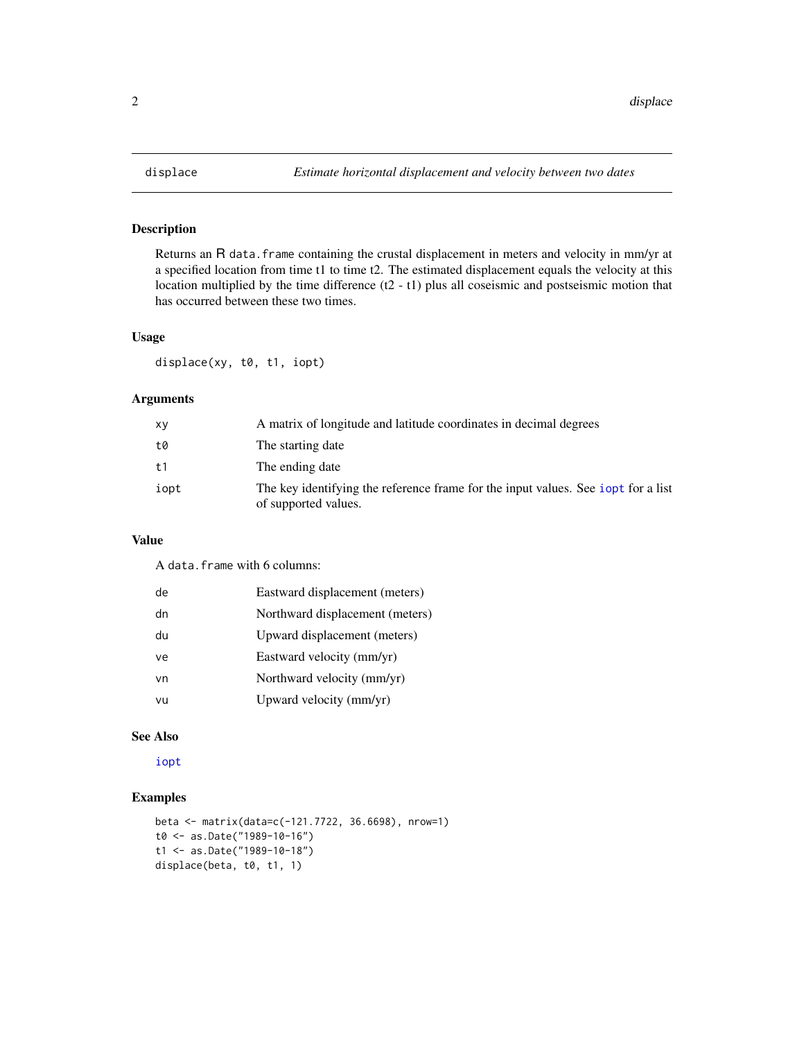<span id="page-1-1"></span><span id="page-1-0"></span>

#### Description

Returns an R data. frame containing the crustal displacement in meters and velocity in mm/yr at a specified location from time t1 to time t2. The estimated displacement equals the velocity at this location multiplied by the time difference (t2 - t1) plus all coseismic and postseismic motion that has occurred between these two times.

#### Usage

displace(xy, t0, t1, iopt)

#### Arguments

| XV             | A matrix of longitude and latitude coordinates in decimal degrees                                         |
|----------------|-----------------------------------------------------------------------------------------------------------|
| t0             | The starting date                                                                                         |
| t <sub>1</sub> | The ending date                                                                                           |
| iopt           | The key identifying the reference frame for the input values. See jopt for a list<br>of supported values. |

#### Value

A data.frame with 6 columns:

| de | Eastward displacement (meters)  |
|----|---------------------------------|
| dn | Northward displacement (meters) |
| du | Upward displacement (meters)    |
| ve | Eastward velocity (mm/yr)       |
| vn | Northward velocity (mm/yr)      |
| vu | Upward velocity (mm/yr)         |

#### See Also

[iopt](#page-2-1)

#### Examples

```
beta <- matrix(data=c(-121.7722, 36.6698), nrow=1)
t0 <- as.Date("1989-10-16")
t1 <- as.Date("1989-10-18")
displace(beta, t0, t1, 1)
```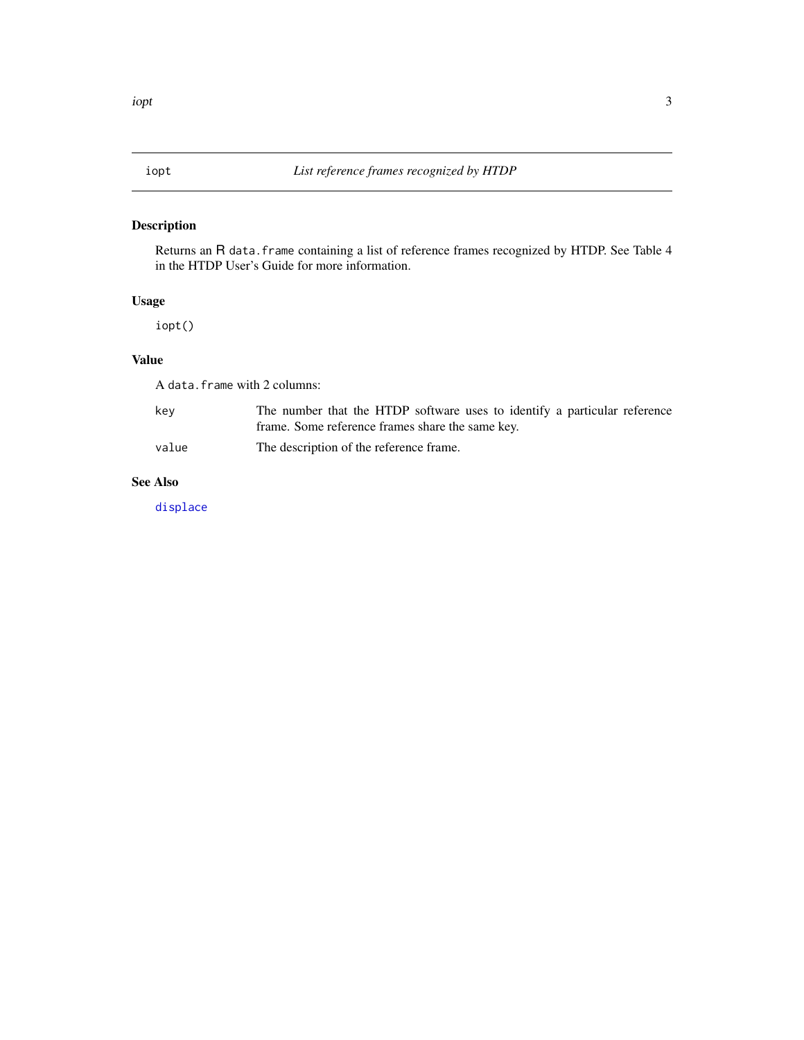#### <span id="page-2-1"></span><span id="page-2-0"></span>Description

Returns an R data.frame containing a list of reference frames recognized by HTDP. See Table 4 in the HTDP User's Guide for more information.

#### Usage

iopt()

#### Value

A data.frame with 2 columns:

| kev   | The number that the HTDP software uses to identify a particular reference |
|-------|---------------------------------------------------------------------------|
|       | frame. Some reference frames share the same key.                          |
| value | The description of the reference frame.                                   |

#### See Also

[displace](#page-1-1)